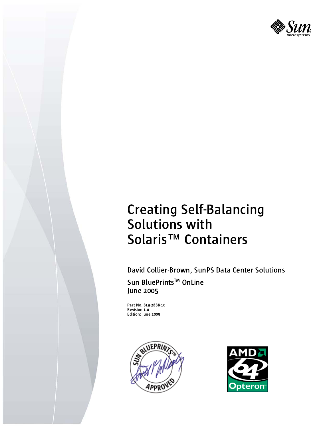

# **Creating Self-Balancing** Solutions with Solaris<sup>™</sup> Containers

David Collier-Brown, SunPS Data Center Solutions Sun BluePrints<sup>™</sup> OnLine June 2005

Part No. 819-2888-10 Revision 1.0 Edition: June 2005



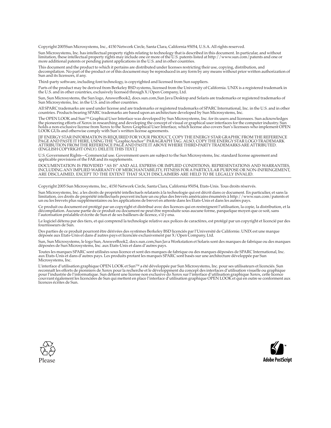Copyright 2005Sun Microsystems, Inc., 4150 Network Circle, Santa Clara, California 95054, U.S.A. All rights reserved.

Sun Microsystems, Inc. has intellectual property rights relating to technology that is described in this document. In particular, and without<br>limitation, these intellectual property rights may include one or more of the U.

This document and the product to which it pertains are distributed under licenses restricting their use, copying, distribution, and<br>decompilation. No part of the product or of this document may be reproduced in any form by

Third-party software, including font technology, is copyrighted and licensed from Sun suppliers.

Parts of the product may be derived from Berkeley BSD systems, licensed from the University of California. UNIX is a registered trademark in the U.S. and in other countries, exclusively licensed through X/Open Company, Ltd.

Sun, Sun Microsystems, the Sun logo, AnswerBook2, docs.sun.com,Sun Java Desktop and Solaris are trademarks or registered trademarks of Sun Microsystems, Inc. in the U.S. and in other countries.

All SPARC trademarks are used under license and are trademarks or registered trademarks of SPARC International, Inc. in the U.S. and in other<br>countries. Products bearing SPARC trademarks are based upon an architecture deve

The OPEN LOOK and Sun<sup>TM</sup> Graphical User Interface was developed by Sun Microsystems, Inc. for its users and licensees. Sun acknowledges the pioneering efforts of Xerox in researching and developing the concept of visual o

[IF ENERGY STAR INFORMATION IS REQUIRED FOR YOUR PRODUCT, COPY THE ENERGY STAR GRAPHIC FROM THE REFERENCE PAGE AND PASTE IT HERE, USING THE "GraphicAnchor" PARAGRAPH TAG. ALSO, COPY THE ENERGY STAR LOGO TRADEMARK<br>ATTRIBUTION FROM THE REFERENCE PAGE AND PASTE IT ABOVE WHERE THIRD-PARTY TRADEMARKS ARE ATTRIBUTED. (ENGLISH COPYRIGHT ONLY). DELETE THIS TEXT.]

U.S. Government Rights—Commercial use. Government users are subject to the Sun Microsystems, Inc. standard license agreement and applicable provisions of the FAR and its supplements.

DOCUMENTATION IS PROVIDED "AS IS" AND ALL EXPRESS OR IMPLIED CONDITIONS, REPRESENTATIONS AND WARRANTIES, INCLUDING ANY IMPLIED WARRANTY OF MERCHANTABILITY, FITNESS FOR A PARTICULAR PURPOSE OR NON-INFRINGEMENT, ARE DISCLAIMED, EXCEPT TO THE EXTENT THAT SUCH DISCLAIMERS ARE HELD TO BE LEGALLY INVALID.

Copyright 2005 Sun Microsystems, Inc., 4150 Network Circle, Santa Clara, California 95054, Etats-Unis. Tous droits réservés.

Sun Microsystems, Inc. a les droits de propriété intellectuels relatants à la technologie qui est décrit dans ce document. En particulier, et sans la limitation, ces droits de propriété intellectuels peuvent inclure un ou plus des brevets américains énumérés à http://www.sun.com/patents et<br>un ou les brevets plus supplémentaires ou les applications de brevet en attente d

Ce produit ou document est protégé par un copyright et distribué avec des licences qui en restreignent l'utilisation, la copie, la distribution, et la décompilation. Aucune partie de ce produit ou document ne peut être reproduite sous aucune forme, parquelque moyen que ce soit, sans l'autorisation préalable et écrite de Sun et de ses bailleurs de licence, s'il y ena.

Le logiciel détenu par des tiers, et qui comprend la technologie relative aux polices de caractères, est protégé par un copyright et licencié par des fournisseurs de Sun.

Des parties de ce produit pourront être dérivées des systèmes Berkeley BSD licenciés par l'Université de Californie. UNIX est une marque<br>déposée aux Etats-Unis et dans d'autres pays et licenciée exclusivement par X/Open Co

Sun, Sun Microsystems, le logo Sun, AnswerBook2, docs.sun.com,Sun Java Workstation et Solaris sont des marques de fabrique ou des marques déposées de Sun Microsystems, Inc. aux Etats-Unis et dans d'autres pays.

Toutes les marques SPARC sont utilisées sous licence et sont des marques de fabrique ou des marques déposées de SPARC International, Inc.<br>aux Etats-Unis et dans d'autres pays. Les produits protant les marques SPARC sont ba Microsystems, Inc.

L'interface d'utilisation graphique OPEN LOOK et Sun™ a été développée par Sun Microsystems, Inc. pour ses utilisateurs et licenciés. Sun<br>reconnaît les efforts de pionniers de Xerox pour la recherche et le développment du licences écrites de Sun.



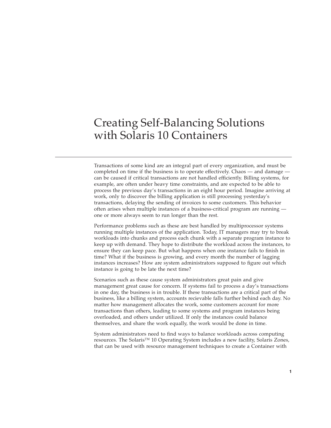# Creating Self-Balancing Solutions with Solaris 10 Containers

Transactions of some kind are an integral part of every organization, and must be completed on time if the business is to operate effectively. Chaos — and damage can be caused if critical transactions are not handled efficiently. Billing systems, for example, are often under heavy time constraints, and are expected to be able to process the previous day's transactions in an eight hour period. Imagine arriving at work, only to discover the billing application is still processing yesterday's transactions, delaying the sending of invoices to some customers. This behavior often arises when multiple instances of a business-critical program are running one or more always seem to run longer than the rest.

Performance problems such as these are best handled by multiprocessor systems running multiple instances of the application. Today, IT managers may try to break workloads into chunks and process each chunk with a separate program instance to keep up with demand. They hope to distribute the workload across the instances, to ensure they can keep pace. But what happens when one instance fails to finish in time? What if the business is growing, and every month the number of lagging instances increases? How are system administrators supposed to figure out which instance is going to be late the next time?

Scenarios such as these cause system administrators great pain and give management great cause for concern. If systems fail to process a day's transactions in one day, the business is in trouble. If these transactions are a critical part of the business, like a billing system, accounts recievable falls further behind each day. No matter how management allocates the work, some customers account for more transactions than others, leading to some systems and program instances being overloaded, and others under utilized. If only the instances could balance themselves, and share the work equally, the work would be done in time.

System administrators need to find ways to balance workloads across computing resources. The Solaris™ 10 Operating System includes a new facility, Solaris Zones, that can be used with resource management techniques to create a Container with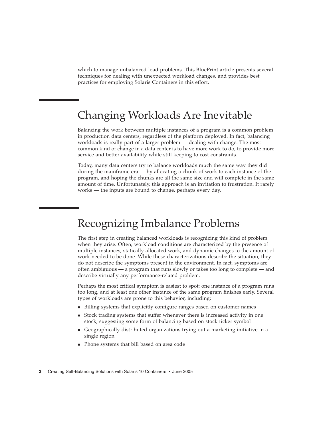which to manage unbalanced load problems. This BluePrint article presents several techniques for dealing with unexpected workload changes, and provides best practices for employing Solaris Containers in this effort.

### Changing Workloads Are Inevitable

Balancing the work between multiple instances of a program is a common problem in production data centers, regardless of the platform deployed. In fact, balancing workloads is really part of a larger problem — dealing with change. The most common kind of change in a data center is to have more work to do, to provide more service and better availability while still keeping to cost constraints.

Today, many data centers try to balance workloads much the same way they did during the mainframe era — by allocating a chunk of work to each instance of the program, and hoping the chunks are all the same size and will complete in the same amount of time. Unfortunately, this approach is an invitation to frustration. It rarely works — the inputs are bound to change, perhaps every day.

#### Recognizing Imbalance Problems

The first step in creating balanced workloads is recognizing this kind of problem when they arise. Often, workload conditions are characterized by the presence of multiple instances, statically allocated work, and dynamic changes to the amount of work needed to be done. While these characterizations describe the situation, they do not describe the symptoms present in the environment. In fact, symptoms are often ambiguous — a program that runs slowly or takes too long to complete — and describe virtually any performance-related problem.

Perhaps the most critical symptom is easiest to spot: one instance of a program runs too long, and at least one other instance of the same program finishes early. Several types of workloads are prone to this behavior, including:

- Billing systems that explicitly configure ranges based on customer names
- Stock trading systems that suffer whenever there is increased activity in one stock, suggesting some form of balancing based on stock ticker symbol
- Geographically distributed organizations trying out a marketing initiative in a single region
- Phone systems that bill based on area code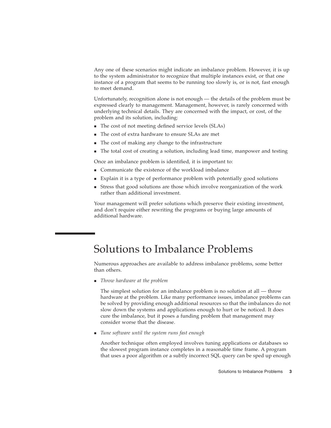Any one of these scenarios might indicate an imbalance problem. However, it is up to the system administrator to recognize that multiple instances exist, or that one instance of a program that seems to be running too slowly is, or is not, fast enough to meet demand.

Unfortunately, recognition alone is not enough — the details of the problem must be expressed clearly to management. Management, however, is rarely concerned with underlying technical details. They are concerned with the impact, or cost, of the problem and its solution, including:

- The cost of not meeting defined service levels (SLAs)
- The cost of extra hardware to ensure SLAs are met
- The cost of making any change to the infrastructure
- The total cost of creating a solution, including lead time, manpower and testing

Once an imbalance problem is identified, it is important to:

- Communicate the existence of the workload imbalance
- Explain it is a type of performance problem with potentially good solutions
- Stress that good solutions are those which involve reorganization of the work rather than additional investment.

Your management will prefer solutions which preserve their existing investment, and don't require either rewriting the programs or buying large amounts of additional hardware.

#### Solutions to Imbalance Problems

Numerous approaches are available to address imbalance problems, some better than others.

*Throw hardware at the problem*

The simplest solution for an imbalance problem is no solution at all — throw hardware at the problem. Like many performance issues, imbalance problems can be solved by providing enough additional resources so that the imbalances do not slow down the systems and applications enough to hurt or be noticed. It does cure the imbalance, but it poses a funding problem that management may consider worse that the disease.

*Tune software until the system runs fast enough*

Another technique often employed involves tuning applications or databases so the slowest program instance completes in a reasonable time frame. A program that uses a poor algorithm or a subtly incorrect SQL query can be sped up enough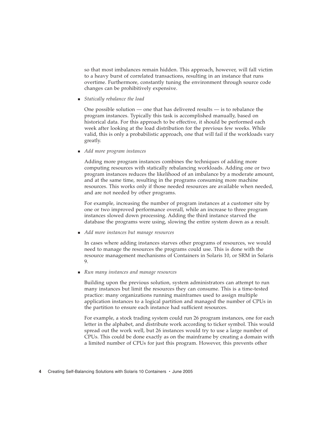so that most imbalances remain hidden. This approach, however, will fall victim to a heavy burst of correlated transactions, resulting in an instance that runs overtime. Furthermore, constantly tuning the environment through source code changes can be prohibitively expensive.

*Statically rebalance the load*

One possible solution — one that has delivered results — is to rebalance the program instances. Typically this task is accomplished manually, based on historical data. For this approach to be effective, it should be performed each week after looking at the load distribution for the previous few weeks. While valid, this is only a probabilistic approach, one that will fail if the workloads vary greatly.

*Add more program instances*

Adding more program instances combines the techniques of adding more computing resources with statically rebalancing workloads. Adding one or two program instances reduces the likelihood of an imbalance by a moderate amount, and at the same time, resulting in the programs consuming more machine resources. This works only if those needed resources are available when needed, and are not needed by other programs.

For example, increasing the number of program instances at a customer site by one or two improved performance overall, while an increase to three program instances slowed down processing. Adding the third instance starved the database the programs were using, slowing the entire system down as a result.

*Add more instances but manage resources*

In cases where adding instances starves other programs of resources, we would need to manage the resources the programs could use. This is done with the resource management mechanisms of Containers in Solaris 10, or SRM in Solaris 9.

*Run many instances and manage resources*

Building upon the previous solution, system administrators can attempt to run many instances but limit the resources they can consume. This is a time-tested practice: many organizations running mainframes used to assign multiple application instances to a logical partition and managed the number of CPUs in the partition to ensure each instance had sufficient resources.

For example, a stock trading system could run 26 program instances, one for each letter in the alphabet, and distribute work according to ticker symbol. This would spread out the work well, but 26 instances would try to use a large number of CPUs. This could be done exactly as on the mainframe by creating a domain with a limited number of CPUs for just this program. However, this prevents other

**4** Creating Self-Balancing Solutions with Solaris 10 Containers • June 2005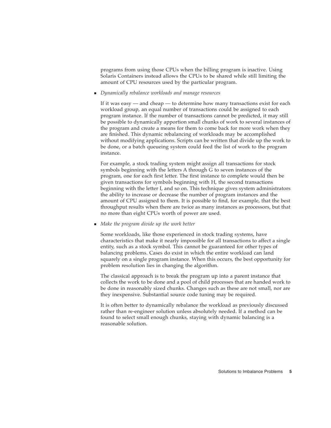programs from using those CPUs when the billing program is inactive. Using Solaris Containers instead allows the CPUs to be shared while still limiting the amount of CPU resources used by the particular program.

*Dynamically rebalance workloads and manage resources*

If it was easy — and cheap — to determine how many transactions exist for each workload group, an equal number of transactions could be assigned to each program instance. If the number of transactions cannot be predicted, it may still be possible to dynamically apportion small chunks of work to several instances of the program and create a means for them to come back for more work when they are finished. This dynamic rebalancing of workloads may be accomplished without modifying applications. Scripts can be written that divide up the work to be done, or a batch queueing system could feed the list of work to the program instance.

For example, a stock trading system might assign all transactions for stock symbols beginning with the letters A through G to seven instances of the program, one for each first letter. The first instance to complete would then be given transactions for symbols beginning with H, the second transactions beginning with the letter I, and so on. This technique gives system administrators the ability to increase or decrease the number of program instances and the amount of CPU assigned to them. It is possible to find, for example, that the best throughput results when there are twice as many instances as processors, but that no more than eight CPUs worth of power are used.

*Make the program divide up the work better*

Some workloads, like those experienced in stock trading systems, have characteristics that make it nearly impossible for all transactions to affect a single entity, such as a stock symbol. This cannot be guaranteed for other types of balancing problems. Cases do exist in which the entire workload can land squarely on a single program instance. When this occurs, the best opportunity for problem resolution lies in changing the algorithm.

The classical approach is to break the program up into a parent instance that collects the work to be done and a pool of child processes that are handed work to be done in reasonably sized chunks. Changes such as these are not small, nor are they inexpensive. Substantial source code tuning may be required.

It is often better to dynamically rebalance the workload as previously discussed rather than re-engineer solution unless absolutely needed. If a method can be found to select small enough chunks, staying with dynamic balancing is a reasonable solution.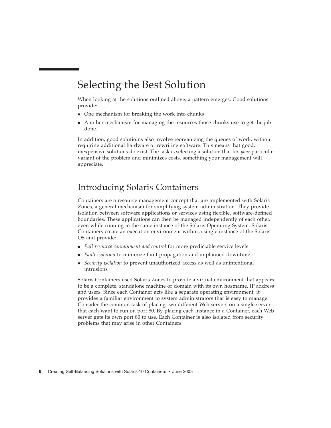### Selecting the Best Solution

When looking at the solutions outlined above, a pattern emerges. Good solutions provide:

- One mechanism for breaking the work into chunks
- Another mechanism for managing the resources those chunks use to get the job done.

In addition, good solutioins also involve reorganizing the queues of work, without requiring additional hardware or rewriting software. This means that good, inexpensive solutions do exist. The task is selecting a solution that fits *your* particular variant of the problem and minimizes costs, something your management will appreciate.

#### Introducing Solaris Containers

Containers are a resource management concept that are implemented with Solaris Zones, a general mechanism for simplifying system administration. They provide isolation between software applications or services using flexible, software-defined boundaries. These applications can then be managed independently of each other, even while running in the same instance of the Solaris Operating System. Solaris Containers create an execution environment within a single instance of the Solaris OS and provide:

- *Full resource containment and control* for more predictable service levels
- *Fault isolation* to minimize fault propagation and unplanned downtime
- *Security isolation* to prevent unauthorized access as well as unintentional intrusions

Solaris Containers used Solaris Zones to provide a virtual environment that appears to be a complete, standalone machine or domain with its own hostname, IP address and users. Since each Container acts like a separate operating environment, it provides a familiar environment to system administrators that is easy to manage. Consider the common task of placing two different Web servers on a single server that each want to run on port 80. By placing each instance in a Container, each Web server gets its own port 80 to use. Each Container is also isolated from security problems that may arise in other Containers.

**6** Creating Self-Balancing Solutions with Solaris 10 Containers • June 2005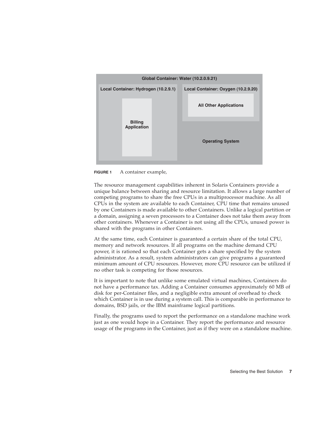

**FIGURE 1** A container example,

The resource management capabilities inherent in Solaris Containers provide a unique balance between sharing and resource limitation. It allows a large number of competing programs to share the free CPUs in a multiprocessor machine. As all CPUs in the system are available to each Container, CPU time that remains unused by one Containers is made available to other Containers. Unlike a logical partition or a domain, assigning a seven processors to a Container does not take them away from other containers. Whenever a Container is not using all the CPUs, unused power is shared with the programs in other Containers.

At the same time, each Container is guaranteed a certain share of the total CPU, memory and network resources. If all programs on the machine demand CPU power, it is rationed so that each Container gets a share specified by the system administrator. As a result, system administrators can give programs a guaranteed minimum amount of CPU resources. However, more CPU resource can be utilized if no other task is competing for those resources.

It is important to note that unlike some emulated virtual machines, Containers do not have a performance tax. Adding a Container consumes approximately 60 MB of disk for per-Container files, and a negligible extra amount of overhead to check which Container is in use during a system call. This is comparable in performance to domains, BSD jails, or the IBM mainframe logical partitions.

Finally, the programs used to report the performance on a standalone machine work just as one would hope in a Container. They report the performance and resource usage of the programs in the Container, just as if they were on a standalone machine.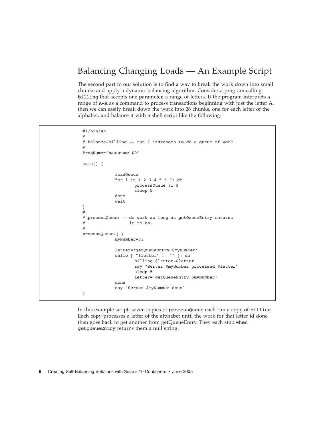#### Balancing Changing Loads — An Example Script

The second part to our solution is to find a way to break the work down into small chunks and apply a dynamic balancing algorithm. Consider a program calling billing that accepts one parameter, a range of letters. If the program interprets a range of A-A as a command to process transactions beginning with just the letter A, then we can easily break down the work into 26 chunks, one for each letter of the alphabet, and balance it with a shell script like the following:

#!/bin/sh # # balance-billing -- run 7 instances to do a queue of work # ProgName='basename \$0' main() { loadQueue for i in 1 2 3 4 5 6 7; do processQueue \$i & sleep 5 done wait } # # processQueue -- do work as long as getQueueEntry returns  $#$  it to us. # processQueue() { myNumber=\$1 letter='getQueueEntry \$myNumber' while [ "\$letter" != "" ]; do billing \$letter-\$letter say "Server \$myNumber processed \$letter" sleep 5 letter='getQueueEntry \$myNumber' done say "Server \$myNumber done" }

In this example script, seven copies of processQueue each run a copy of billing. Each copy processes a letter of the alphabet until the work for that letter id done, then goes back to get another from getQueueEntry. They each stop when getQueueEntry returns them a null string.

**8** Creating Self-Balancing Solutions with Solaris 10 Containers • June 2005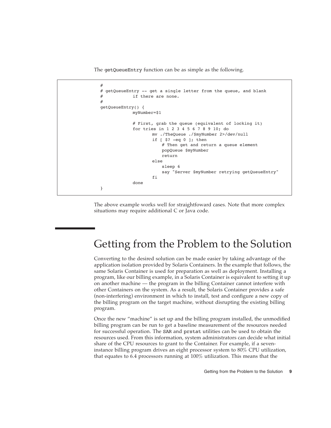The getQueueEntry function can be as simple as the following.

```
#
# getQueueEntry -- get a single letter from the queue, and blank
# if there are none.
#
getQueueEntry() {
            myNumber=$1
            # First, grab the queue (equivalent of locking it)
            for tries in 1 2 3 4 5 6 7 8 9 10; do
                   mv ./TheQueue ./$myNumber 2>/dev/null
                   if [ $? -eq 0 ]; then
                       # Then get and return a queue element
                       popQueue $myNumber
                       return
                   else
                       sleep 6
                       say "Server $myNumber retrying getQueueEntry"
                   fi
            done
}
```
The above example works well for straightfoward cases. Note that more complex situations may require additional C or Java code.

#### Getting from the Problem to the Solution

Converting to the desired solution can be made easier by taking advantage of the application isolation provided by Solaris Containers. In the example that follows, the same Solaris Container is used for preparation as well as deployment. Installing a program, like our billing example, in a Solaris Container is equivalent to setting it up on another machine — the program in the billing Container cannot interfere with other Containers on the system. As a result, the Solaris Container provides a safe (non-interfering) environment in which to install, test and configure a new copy of the billing program on the target machine, without disrupting the existing billing program.

Once the new "machine" is set up and the billing program installed, the unmodified billing program can be run to get a baseline measurement of the resources needed for successful operation. The SAR and prstat utilities can be used to obtain the resources used. From this information, system administrators can decide what initial share of the CPU resources to grant to the Container. For example, if a seveninstance billing program drives an eight processor system to 80% CPU utilization, that equates to 6.4 processors running at 100% utilization. This means that the

Getting from the Problem to the Solution **9**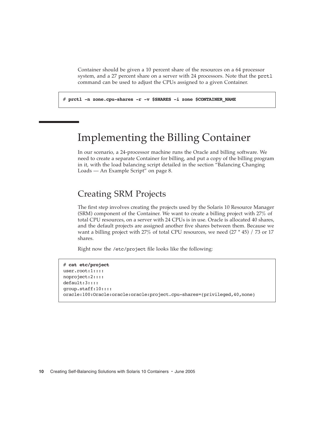Container should be given a 10 percent share of the resources on a 64 processor system, and a 27 percent share on a server with 24 processors. Note that the prctl command can be used to adjust the CPUs assigned to a given Container.

# **prctl -n zone.cpu-shares -r -v \$SHARES -i zone \$CONTAINER\_NAME**

### Implementing the Billing Container

In our scenario, a 24-processor machine runs the Oracle and billing software. We need to create a separate Container for billing, and put a copy of the billing program in it, with the load balancing script detailed in the section "Balancing Changing Loads — An Example Script" on page 8.

#### Creating SRM Projects

The first step involves creating the projects used by the Solaris 10 Resource Manager (SRM) component of the Container. We want to create a billing project with 27% of total CPU resources, on a server with 24 CPUs is in use. Oracle is allocated 40 shares, and the default projects are assigned another five shares between them. Because we want a billing project with 27% of total CPU resources, we need (27 \* 45) / 73 or 17 shares.

Right now the /etc/project file looks like the following:

```
# cat etc/project
user.root:1::::
noproject:2::::
default:3::::
group.staff:10::::
oracle:100:Oracle:oracle:oracle:project.cpu-shares=(privileged,40,none)
```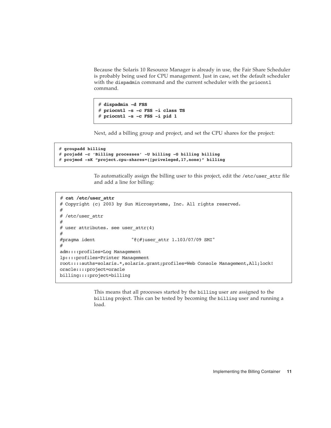Because the Solaris 10 Resource Manager is already in use, the Fair Share Scheduler is probably being used for CPU management. Just in case, set the default scheduler with the dispadmin command and the current scheduler with the priocntl command.

```
# dispadmin -d FSS
# priocntl -s -c FSS -i class TS
# priocntl -s -c FSS -i pid 1
```
Next, add a billing group and project, and set the CPU shares for the project:

```
# groupadd billing
# projadd -c 'Billing processes' -U billing -G billing billing
# projmod -sK "project.cpu-shares=([priveleged,17,none)" billing
```
To automatically assign the billing user to this project, edit the /etc/user\_attr file and add a line for billing:

```
# cat /etc/user_attr
# Copyright (c) 2003 by Sun Microsystems, Inc. All rights reserved.
#
# /etc/user_attr
#
# user attributes. see user attr(4)#
#pragma ident "@(#)user_attr 1.103/07/09 SMI"
#
adm::::profiles=Log Management
lp::::profiles=Printer Management
root::::auths=solaris.*,solaris.grant;profiles=Web Console Management,All;lock!
oracle::::project=oracle
billing::::project=billing
```
This means that all processes started by the billing user are assigned to the billing project. This can be tested by becoming the billing user and running a load.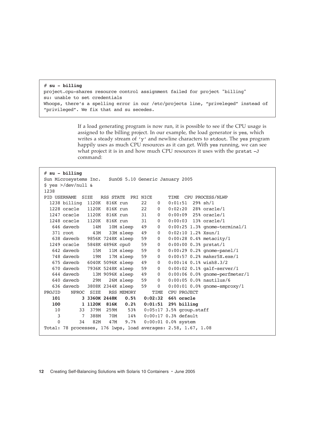```
# su - billing
project.cpu-shares resource control assignment failed for project "billing"
su: unable to set credentials
Whoops, there's a spelling error in our /etc/projects line, "priveleged" instead of
"privileged". We fix that and su secedes.
```
If a load generating program is now run, it is possible to see if the CPU usage is assigned to the billing project. In our example, the load generator is yes, which writes a steady stream of 'y' and newline characters to stdout. The yes program happily uses as much CPU resources as it can get. With yes running, we can see what project it is in and how much CPU resources it uses with the prstat -J command:

```
# su - billing
Sun Microsystems Inc. SunOS 5.10 Generic January 2005
$ yes >/dev/null &
1238
PID USERNAME SIZE RSS STATE PRI NICE TIME CPU PROCESS/NLWP 
  1238 billing 1120K 816K run 22 0 0:01:51 29% sh/1
  1228 oracle 1120K 816K run 22 0 0:02:20 28% oracle/1
  1247 oracle 1120K 816K run 31 0 0:00:09 25% oracle/1
  1248 oracle 1120K 816K run 31 0 0:00:03 13% oracle/1
   646 davecb 14M 10M sleep 49 0 0:00:25 1.3% gnome-terminal/1
   371 root 43M 33M sleep 49 0 0:02:10 1.2% Xsun/1
   638 davecb 9856K 7248K sleep 59 0 0:00:28 0.4% metacity/1
  1249 oracle 5848K 4896K cpu0 59 0 0:00:00 0.3% prstat/1
   642 davecb 15M 11M sleep 59 0 0:00:29 0.2% gnome-panel/1
 748 davecb 19M 17M sleep 59 0 0:00:57 0.2% maker5X.exe/1
 675 davecb 6040K 5096K sleep 49 0 0:00:14 0.1% wish8.3/2
  670 davecb 7936K 5248K sleep 59 0 0:00:02 0.1% galf-server/1
   644 davecb 13M 9096K sleep 49 0 0:00:06 0.0% gnome-perfmeter/1
              29M 26M sleep 59 0 0:00:05 0.0% nautilus/6
   636 davecb 3808K 2344K sleep 59 0 0:00:01 0.0% gnome-smproxy/1
PROJID NPROC SIZE RSS MEMORY TIME CPU PROJECT
   101 3 3360K 2448K 0.5% 0:02:32 66% oracle 
   100 1 1120K 816K 0.2% 0:01:51 29% billing 
    10 33 379M 259M 53% 0:05:17 3.5% group.staff 
     3 7 388M 70M 14% 0:00:17 0.3% default 
     0 34 82M 47M 9.7% 0:00:01 0.0% system 
Total: 78 processes, 176 lwps, load averages: 2.58, 1.67, 1.08
```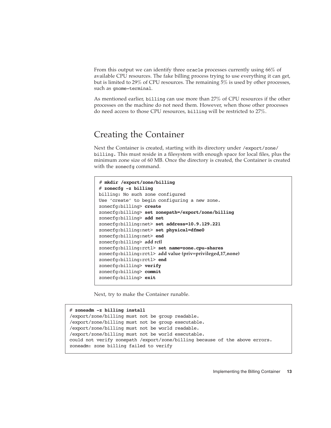From this output we can identify three oracle processes currently using 66% of available CPU resources. The fake billing process trying to use everything it can get, but is limited to 29% of CPU resources. The remaining 5% is used by other processes, such as gnome-terminal.

As mentioned earlier, billing can use more than 27% of CPU resources if the other processes on the machine do not need them. However, when those other processes do need access to those CPU resources, billing will be restricted to 27%.

#### Creating the Container

Next the Container is created, starting with its directory under /export/zone/ billing. This must reside in a filesystem with enough space for local files, plus the minimum zone size of 60 MB. Once the directory is created, the Container is created with the zonecfg command.

```
# mkdir /export/zone/billing
# zonecfg -z billing
billing: No such zone configured
Use 'create' to begin configuring a new zone.
zonecfg:billing> create
zonecfg:billing> set zonepath=/export/zone/billing
zonecfg:billing> add net
zonecfg:billing:net> set address=10.9.129.221
zonecfg:billing:net> set physical=dfme0
zonecfg:billing:net> end
zonecfg:billing> add rctl
zonecfg:billing:rctl> set name=zone.cpu-shares
zonecfg:billing:rctl> add value (priv=privileged,17,none)
zonecfg:billing:rctl> end
zonecfg:billing> verify
zonecfg:billing> commit
zonecfg:billing> exit
```
Next, try to make the Container runable.

```
# zoneadm -z billing install
/export/zone/billing must not be group readable.
/export/zone/billing must not be group executable.
/export/zone/billing must not be world readable.
/export/zone/billing must not be world executable.
could not verify zonepath /export/zone/billing because of the above errors.
zoneadm: zone billing failed to verify
```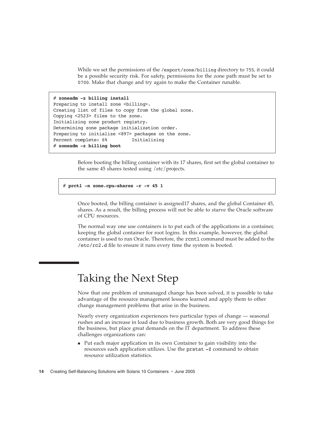While we set the permissions of the /export/zone/billing directory to 755, it could be a possible security risk. For safety, permissions for the zone path must be set to 0700. Make that change and try again to make the Container runable.

```
# zoneadm -z billing install
Preparing to install zone <br/> <br/>billing>.
Creating list of files to copy from the global zone.
Copying <2523> files to the zone.
Initializing zone product registry.
Determining zone package initialization order.
Preparing to initialize <897> packages on the zone.
Percent complete: 6% Initializing
# zoneadm -z billing boot
```
Before booting the billing container with its 17 shares, first set the global container to the same 45 shares tested using /etc/projects.

```
# prctl -n zone.cpu-shares -r -v 45 1
```
Once booted, the billing container is assigned17 shares, and the global Container 45, shares. As a result, the billing process will not be able to starve the Oracle software of CPU resources.

The normal way one use containers is to put each of the applications in a container, keeping the global container for root logins. In this example, however, the global container is used to run Oracle. Therefore, the rcntl command must be added to the /etc/rc2.d file to ensure it runs every time the system is booted.

## Taking the Next Step

Now that one problem of unmanaged change has been solved, it is possible to take advantage of the resource management lessons learned and apply them to other change management problems that arise in the business.

Nearly every organization experiences two particular types of change — seasonal rushes and an increase in load due to business growth. Both are very good things for the business, but place great demands on the IT department. To address these challenges organizations can:

 Put each major application in its own Container to gain visibility into the resources each application utilizes. Use the prstat -Z command to obtain resource utilization statistics.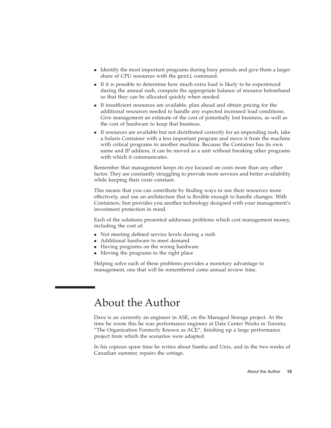- I dentify the most important programs during busy periods and give them a larger share of CPU resources with the prctl command.
- If it is possible to determine how much extra load is likely to be experienced during the annual rush, compute the appropriate balance of resource beforehand so that they can be allocated quickly when needed.
- If insufficient resources are available, plan ahead and obtain pricing for the additional resources needed to handle any expected increased load conditions. Give management an estimate of the cost of potentially lost business, as well as the cost of hardware to keep that business.
- If resources are available but not distributed correctly for an impending rush, take a Solaris Container with a less important program and move it from the machine with critical programs to another machine. Because the Container has its own name and IP address, it can be moved as a unit without breaking other programs with which it communicates.

Remember that management keeps its eye focused on costs more than any other factor. They are constantly struggling to provide more services and better availability while keeping their costs constant.

This means that you can contribute by finding ways to use their resources more effectively, and use an architecture that is flexible enough to handle changes. With Containers, Sun provides you another technology designed with your management's investment protection in mind.

Each of the solutions presented addresses problems which cost management money, including the cost of:

- Not meeting defined service levels during a rush
- Additional hardware to meet demand
- Having programs on the wrong hardware
- **Moving the programs to the right place**

Helping solve each of these problems provides a monetary advantage to management, one that will be remembered come annual review time.

### About the Author

Dave is an currently an engineer in ASE, on the Managed Storage project. At the time he wrote this he was performance engineer at Data Center Works in Toronto, "The Organization Formerly Known as ACE", finishing up a large performance project from which the scenarios were adapted.

In his copious spare time he writes about Samba and Unix, and in the two weeks of Canadian summer, repairs the cottage.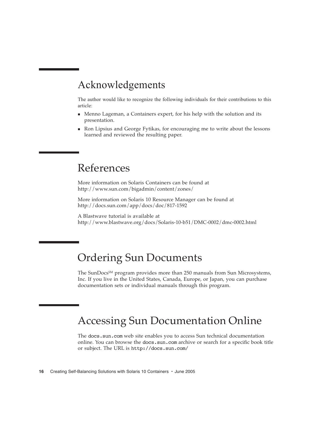#### Acknowledgements

The author would like to recognize the following individuals for their contributions to this article:

- Menno Lageman, a Containers expert, for his help with the solution and its presentation.
- Ron Lipsius and George Fytikas, for encouraging me to write about the lessons learned and reviewed the resulting paper.

# References

More information on Solaris Containers can be found at http://www.sun.com/bigadmin/content/zones/

More information on Solaris 10 Resource Manager can be found at http://docs.sun.com/app/docs/doc/817-1592

A Blastwave tutorial is available at http://www.blastwave.org/docs/Solaris-10-b51/DMC-0002/dmc-0002.html

### Ordering Sun Documents

The SunDocs<sup>SM</sup> program provides more than 250 manuals from Sun Microsystems, Inc. If you live in the United States, Canada, Europe, or Japan, you can purchase documentation sets or individual manuals through this program.

# Accessing Sun Documentation Online

The docs.sun.com web site enables you to access Sun technical documentation online. You can browse the docs.sun.com archive or search for a specific book title or subject. The URL is http://docs.sun.com/